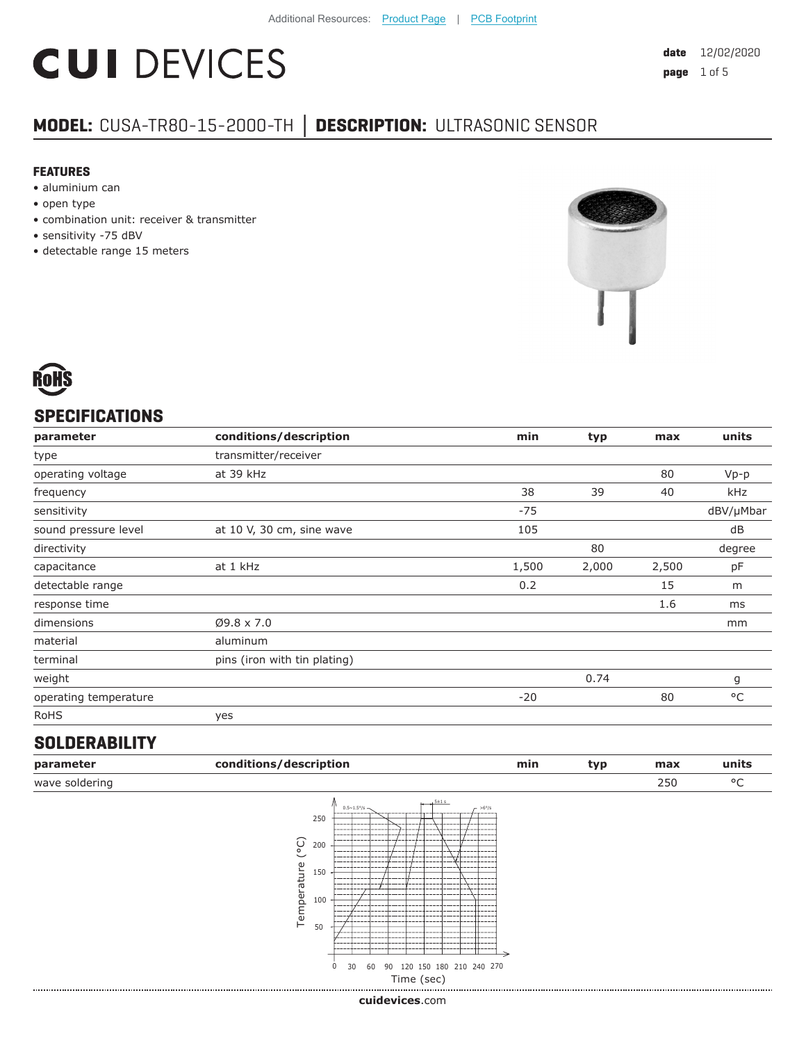# **CUI DEVICES**

### **MODEL:** CUSA-TR80-15-2000-TH **│ DESCRIPTION:** ULTRASONIC SENSOR

#### **FEATURES**

- aluminium can
- open type
- combination unit: receiver & transmitter
- sensitivity -75 dBV
- detectable range 15 meters





#### **SPECIFICATIONS**

| parameter             | conditions/description       | min   | typ   | max   | units        |
|-----------------------|------------------------------|-------|-------|-------|--------------|
| type                  | transmitter/receiver         |       |       |       |              |
| operating voltage     | at 39 kHz                    |       |       | 80    | $Vp-p$       |
| frequency             |                              | 38    | 39    | 40    | kHz          |
| sensitivity           |                              | $-75$ |       |       | dBV/µMbar    |
| sound pressure level  | at 10 V, 30 cm, sine wave    | 105   |       |       | dB           |
| directivity           |                              |       | 80    |       | degree       |
| capacitance           | at 1 kHz                     | 1,500 | 2,000 | 2,500 | pF           |
| detectable range      |                              | 0.2   |       | 15    | m            |
| response time         |                              |       |       | 1.6   | ms           |
| dimensions            | $Ø9.8 \times 7.0$            |       |       |       | mm           |
| material              | aluminum                     |       |       |       |              |
| terminal              | pins (iron with tin plating) |       |       |       |              |
| weight                |                              |       | 0.74  |       | g            |
| operating temperature |                              | $-20$ |       | 80    | $^{\circ}$ C |
| <b>RoHS</b>           | yes                          |       |       |       |              |

#### **SOLDERABILITY**

| parameter      | conditions/description | min | tvp | max | units  |
|----------------|------------------------|-----|-----|-----|--------|
| wave soldering |                        |     |     | 250 | $\sim$ |



**cui[devices](https://www.cuidevices.com/track?actionLabel=Datasheet-ClickThrough-HomePage&label=CUSA-TR80-15-2000-TH.pdf&path=/)**.com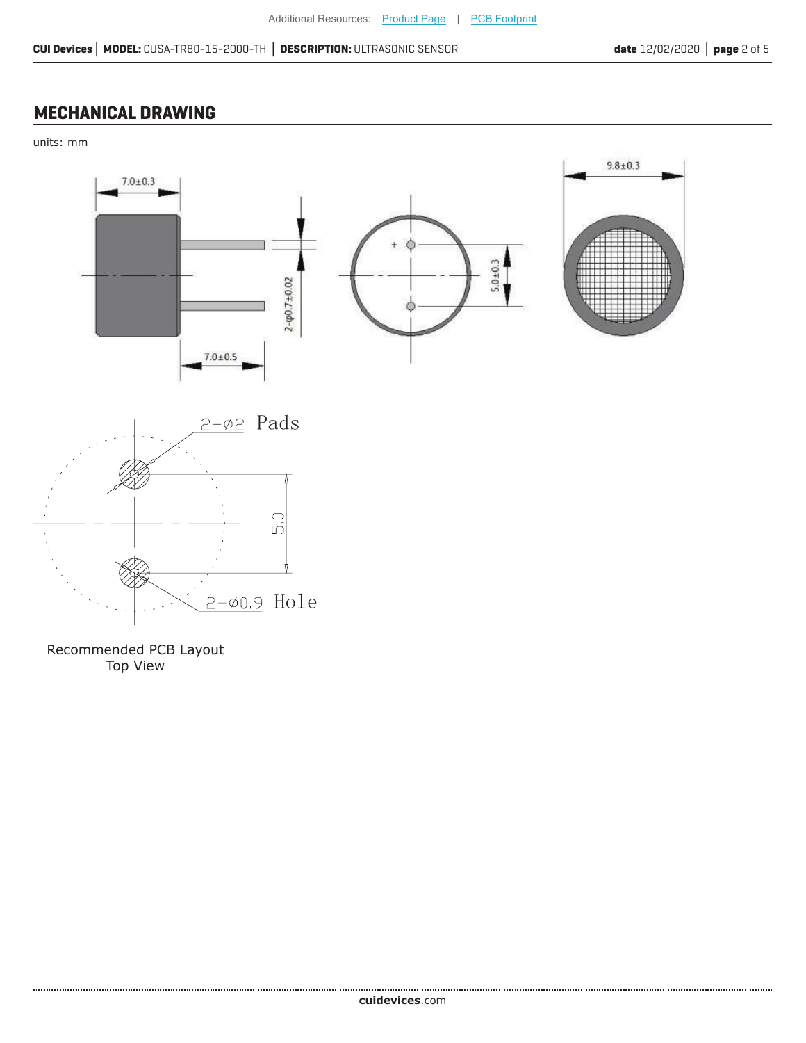#### **MECHANICAL DRAWING**

units: mm



Recommended PCB Layout Top View

......................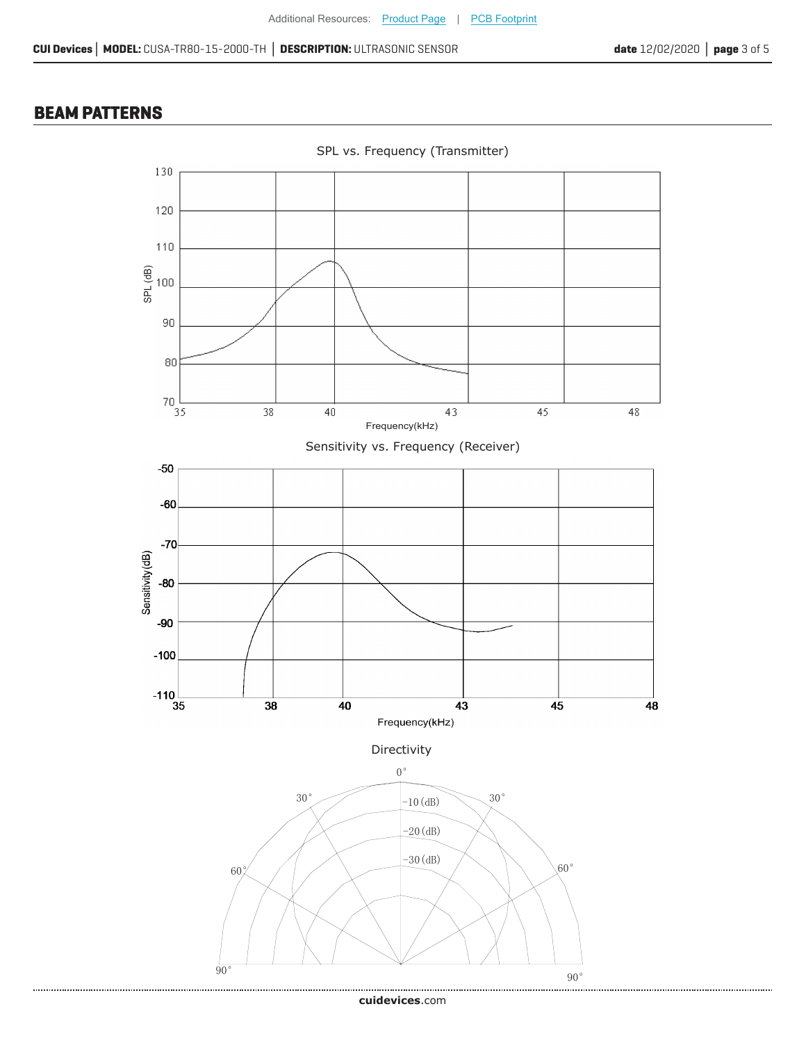#### **BEAM PATTERNS**

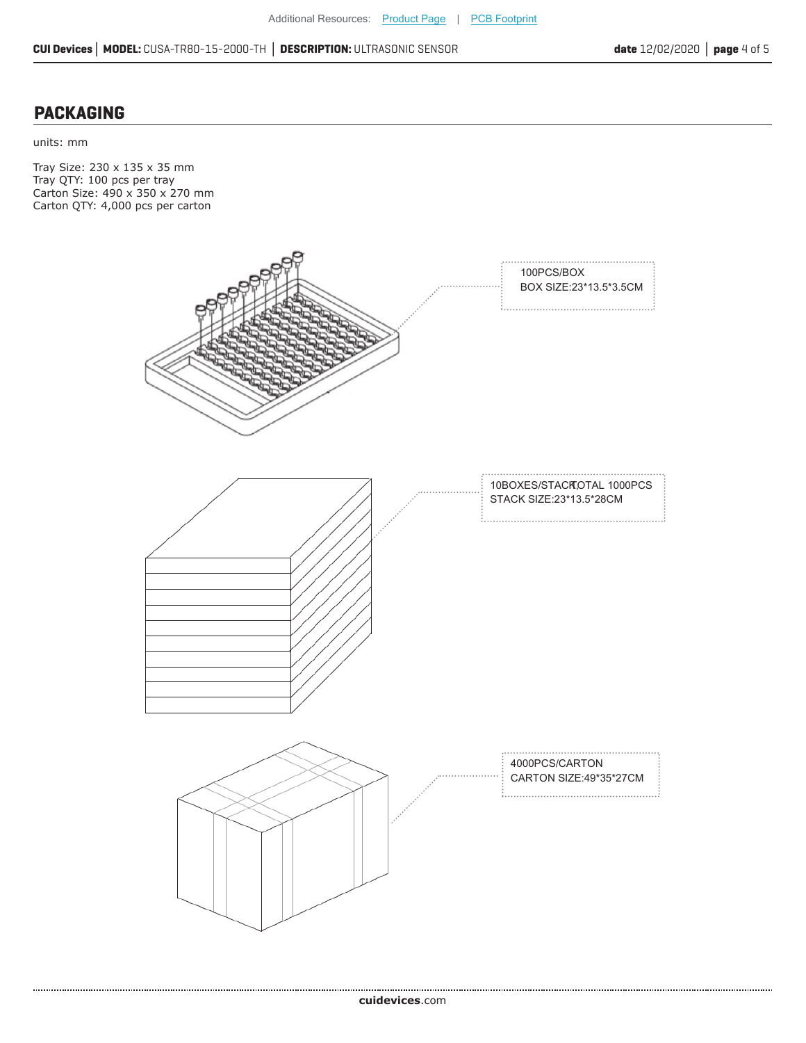#### **PACKAGING**

units: mm

Tray Size: 230 x 135 x 35 mm Tray QTY: 100 pcs per tray Carton Size: 490 x 350 x 270 mm Carton QTY: 4,000 pcs per carton